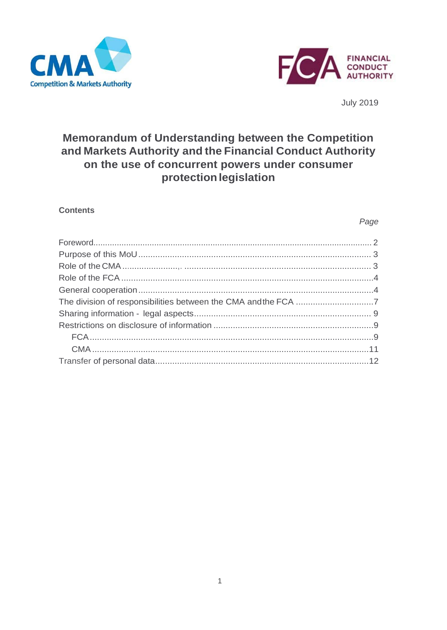



**July 2019** 

# Memorandum of Understanding between the Competition and Markets Authority and the Financial Conduct Authority on the use of concurrent powers under consumer protection legislation

#### **Contents**

Page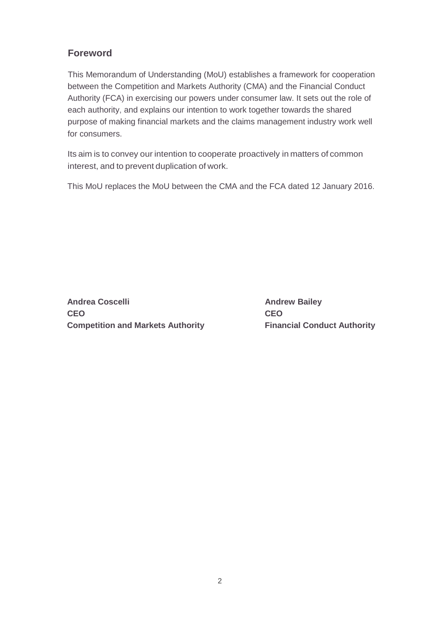# <span id="page-1-0"></span>**Foreword**

This Memorandum of Understanding (MoU) establishes a framework for cooperation between the Competition and Markets Authority (CMA) and the Financial Conduct Authority (FCA) in exercising our powers under consumer law. It sets out the role of each authority, and explains our intention to work together towards the shared purpose of making financial markets and the claims management industry work well for consumers.

Its aim is to convey our intention to cooperate proactively in matters of common interest, and to prevent duplication of work.

This MoU replaces the MoU between the CMA and the FCA dated 12 January 2016.

**Andrea Coscelli CEO Competition and Markets Authority** **Andrew Bailey CEO Financial Conduct Authority**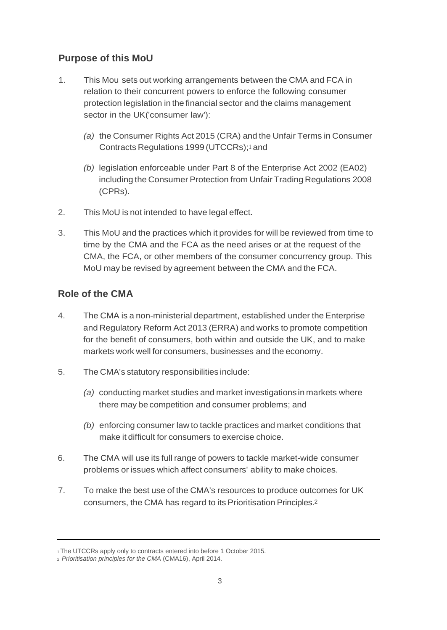# <span id="page-2-0"></span>**Purpose of this MoU**

- 1. This Mou sets out working arrangements between the CMA and FCA in relation to their concurrent powers to enforce the following consumer protection legislation in the financial sector and the claims management sector in the UK('consumer law'):
	- *(a)* the Consumer Rights Act 2015 (CRA) and the Unfair Terms in Consumer Contracts Regulations 1999 (UTCCRs);1 and
	- *(b)* legislation enforceable under Part 8 of the Enterprise Act 2002 (EA02) including the Consumer Protection from Unfair Trading Regulations 2008 (CPRs).
- 2. This MoU is not intended to have legal effect.
- 3. This MoU and the practices which it provides for will be reviewed from time to time by the CMA and the FCA as the need arises or at the request of the CMA, the FCA, or other members of the consumer concurrency group. This MoU may be revised by agreement between the CMA and the FCA.

# <span id="page-2-1"></span>**Role of the CMA**

- 4. The CMA is a non-ministerial department, established under the Enterprise and Regulatory Reform Act 2013 (ERRA) and works to promote competition for the benefit of consumers, both within and outside the UK, and to make markets work well forconsumers, businesses and the economy.
- 5. The CMA's statutory responsibilities include:
	- *(a)* conducting market studies and market investigations in markets where there may be competition and consumer problems; and
	- *(b)* enforcing consumer law to tackle practices and market conditions that make it difficult for consumers to exercise choice.
- 6. The CMA will use its full range of powers to tackle market-wide consumer problems or issues which affect consumers' ability to make choices.
- 7. To make the best use of the CMA's resources to produce outcomes for UK consumers, the CMA has regard to its Prioritisation Principles.2

<sup>1</sup> The UTCCRs apply only to contracts entered into before 1 October 2015.

<sup>2</sup> *Prioritisation principles for the CMA* (CMA16), April 2014.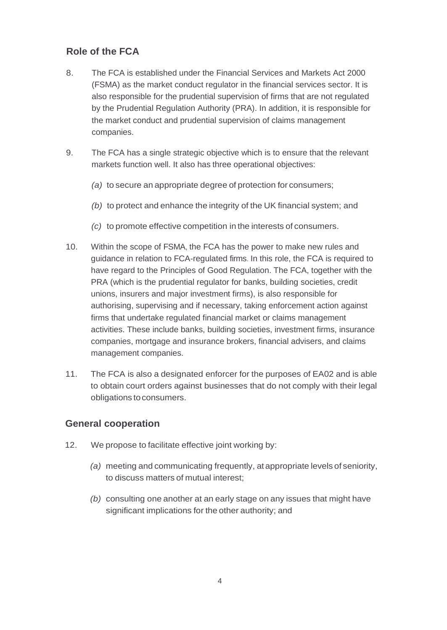## <span id="page-3-0"></span>**Role of the FCA**

- 8. The FCA is established under the Financial Services and Markets Act 2000 (FSMA) as the market conduct regulator in the financial services sector. It is also responsible for the prudential supervision of firms that are not regulated by the Prudential Regulation Authority (PRA). In addition, it is responsible for the market conduct and prudential supervision of claims management companies.
- 9. The FCA has a single strategic objective which is to ensure that the relevant markets function well. It also has three operational objectives:
	- *(a)* to secure an appropriate degree of protection for consumers;
	- *(b)* to protect and enhance the integrity of the UK financial system; and
	- *(c)* to promote effective competition in the interests of consumers.
- 10. Within the scope of FSMA, the FCA has the power to make new rules and guidance in relation to FCA-regulated firms. In this role, the FCA is required to have regard to the Principles of Good Regulation. The FCA, together with the PRA (which is the prudential regulator for banks, building societies, credit unions, insurers and major investment firms), is also responsible for authorising, supervising and if necessary, taking enforcement action against firms that undertake regulated financial market or claims management activities. These include banks, building societies, investment firms, insurance companies, mortgage and insurance brokers, financial advisers, and claims management companies.
- 11. The FCA is also a designated enforcer for the purposes of EA02 and is able to obtain court orders against businesses that do not comply with their legal obligations toconsumers.

#### <span id="page-3-1"></span>**General cooperation**

- 12. We propose to facilitate effective joint working by:
	- *(a)* meeting and communicating frequently, at appropriate levels of seniority, to discuss matters of mutual interest;
	- *(b)* consulting one another at an early stage on any issues that might have significant implications for the other authority; and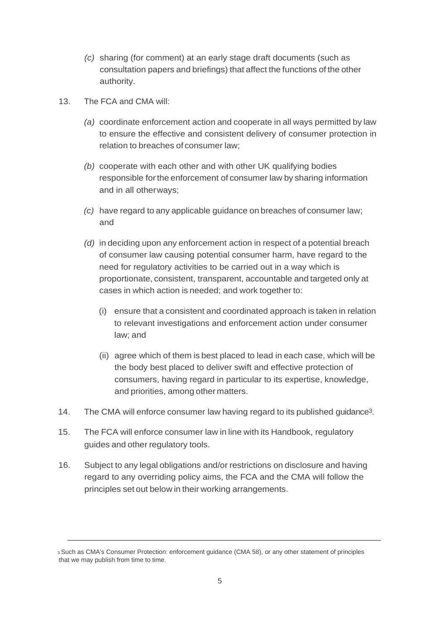- *(c)* sharing (for comment) at an early stage draft documents (such as consultation papers and briefings) that affect the functions of the other authority.
- 13. The FCA and CMA will:
	- *(a)* coordinate enforcement action and cooperate in all ways permitted by law to ensure the effective and consistent delivery of consumer protection in relation to breaches of consumer law;
	- *(b)* cooperate with each other and with other UK qualifying bodies responsible forthe enforcement of consumer law by sharing information and in all otherways;
	- *(c)* have regard to any applicable guidance on breaches of consumer law; and
	- *(d)* in deciding upon any enforcement action in respect of a potential breach of consumer law causing potential consumer harm, have regard to the need for regulatory activities to be carried out in a way which is proportionate, consistent, transparent, accountable and targeted only at cases in which action is needed; and work together to:
		- (i) ensure that a consistent and coordinated approach is taken in relation to relevant investigations and enforcement action under consumer law; and
		- (ii) agree which of them is best placed to lead in each case, which will be the body best placed to deliver swift and effective protection of consumers, having regard in particular to its expertise, knowledge, and priorities, among other matters.
- 14. The CMA will enforce consumer law having regard to its published guidance3.
- 15. The FCA will enforce consumer law in line with its Handbook, regulatory guides and other regulatory tools.
- 16. Subject to any legal obligations and/or restrictions on disclosure and having regard to any overriding policy aims, the FCA and the CMA will follow the principles set out below in their working arrangements.

<sup>3</sup> Such as CMA's Consumer Protection: enforcement guidance (CMA 58), or any other statement of principles that we may publish from time to time.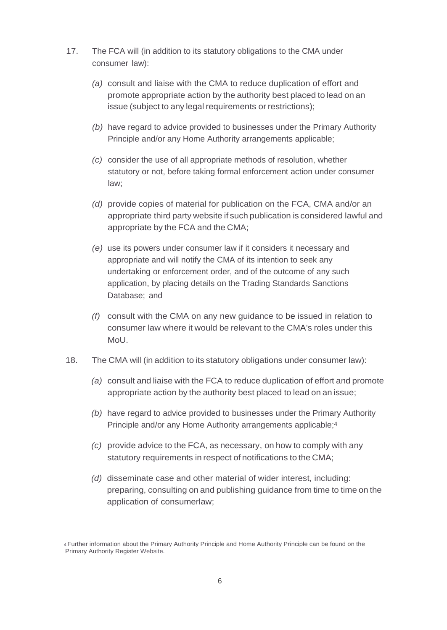- 17. The FCA will (in addition to its statutory obligations to the CMA under consumer law):
	- *(a)* consult and liaise with the CMA to reduce duplication of effort and promote appropriate action by the authority best placed to lead on an issue (subject to any legal requirements or restrictions);
	- *(b)* have regard to advice provided to businesses under the Primary Authority Principle and/or any Home Authority arrangements applicable;
	- *(c)* consider the use of all appropriate methods of resolution, whether statutory or not, before taking formal enforcement action under consumer law;
	- *(d)* provide copies of material for publication on the FCA, CMA and/or an appropriate third party website if such publication is considered lawful and appropriate by the FCA and the CMA;
	- *(e)* use its powers under consumer law if it considers it necessary and appropriate and will notify the CMA of its intention to seek any undertaking or enforcement order, and of the outcome of any such application, by placing details on the Trading Standards Sanctions Database; and
	- *(f)* consult with the CMA on any new guidance to be issued in relation to consumer law where it would be relevant to the CMA's roles under this MoU.
- 18. The CMA will (in addition to its statutory obligations under consumer law):
	- *(a)* consult and liaise with the FCA to reduce duplication of effort and promote appropriate action by the authority best placed to lead on an issue;
	- *(b)* have regard to advice provided to businesses under the Primary Authority Principle and/or any Home Authority arrangements applicable;<sup>4</sup>
	- *(c)* provide advice to the FCA, as necessary, on how to comply with any statutory requirements in respect of notifications to the CMA;
	- *(d)* disseminate case and other material of wider interest, including: preparing, consulting on and publishing guidance from time to time on the application of consumerlaw;

<sup>4</sup> Further information about the Primary Authority Principle and Home Authority Principle can be found on the Primary Authority Register Website.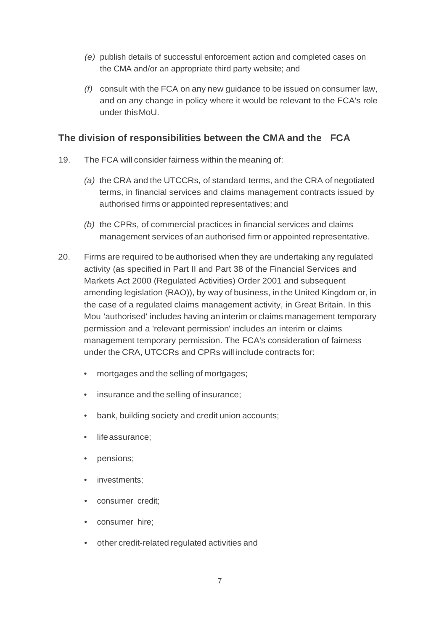- *(e)* publish details of successful enforcement action and completed cases on the CMA and/or an appropriate third party website; and
- *(f)* consult with the FCA on any new guidance to be issued on consumer law, and on any change in policy where it would be relevant to the FCA's role under thisMoU.

### <span id="page-6-0"></span>**The division of responsibilities between the CMA and the FCA**

- 19. The FCA will consider fairness within the meaning of:
	- *(a)* the CRA and the UTCCRs, of standard terms, and the CRA of negotiated terms, in financial services and claims management contracts issued by authorised firms or appointed representatives; and
	- *(b)* the CPRs, of commercial practices in financial services and claims management services of an authorised firm or appointed representative.
- 20. Firms are required to be authorised when they are undertaking any regulated activity (as specified in Part II and Part 38 of the Financial Services and Markets Act 2000 (Regulated Activities) Order 2001 and subsequent amending legislation (RAO)), by way of business, in the United Kingdom or, in the case of a regulated claims management activity, in Great Britain. In this Mou 'authorised' includes having an interim or claims management temporary permission and a 'relevant permission' includes an interim or claims management temporary permission. The FCA's consideration of fairness under the CRA, UTCCRs and CPRs will include contracts for:
	- mortgages and the selling of mortgages;
	- insurance and the selling of insurance;
	- bank, building society and credit union accounts;
	- lifeassurance;
	- pensions;
	- investments;
	- consumer credit;
	- consumer hire;
	- other credit-related regulated activities and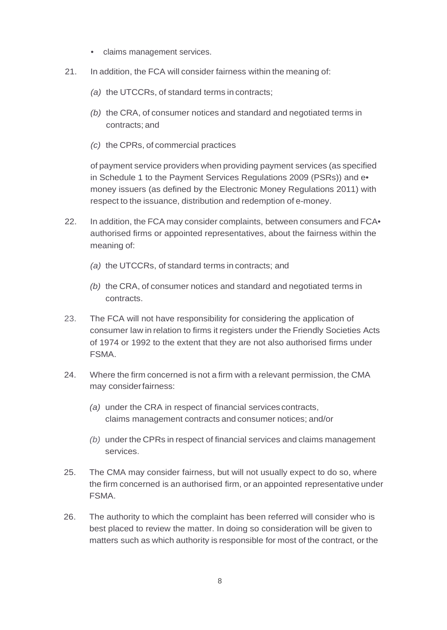- claims management services.
- 21. In addition, the FCA will consider fairness within the meaning of:
	- *(a)* the UTCCRs, of standard terms in contracts;
	- *(b)* the CRA, of consumer notices and standard and negotiated terms in contracts; and
	- *(c)* the CPRs, of commercial practices

of payment service providers when providing payment services (as specified in Schedule 1 to the Payment Services Regulations 2009 (PSRs)) and e• money issuers (as defined by the Electronic Money Regulations 2011) with respect to the issuance, distribution and redemption of e-money.

- 22. In addition, the FCA may consider complaints, between consumers and FCA $\bullet$ authorised firms or appointed representatives, about the fairness within the meaning of:
	- *(a)* the UTCCRs, of standard terms in contracts; and
	- *(b)* the CRA, of consumer notices and standard and negotiated terms in contracts.
- 23. The FCA will not have responsibility for considering the application of consumer law in relation to firms it registers under the Friendly Societies Acts of 1974 or 1992 to the extent that they are not also authorised firms under FSMA.
- 24. Where the firm concerned is not a firm with a relevant permission, the CMA may considerfairness:
	- *(a)* under the CRA in respect of financial services contracts, claims management contracts and consumer notices; and/or
	- *(b)* under the CPRs in respect of financial services and claims management services.
- 25. The CMA may consider fairness, but will not usually expect to do so, where the firm concerned is an authorised firm, or an appointed representative under FSMA.
- 26. The authority to which the complaint has been referred will consider who is best placed to review the matter. In doing so consideration will be given to matters such as which authority is responsible for most of the contract, or the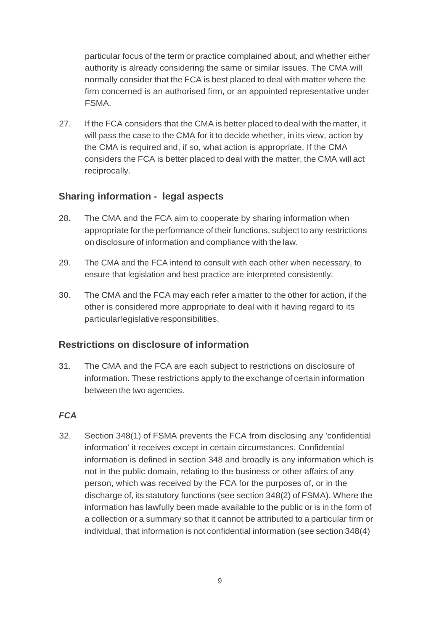particular focus of the term or practice complained about, and whether either authority is already considering the same or similar issues. The CMA will normally consider that the FCA is best placed to deal with matter where the firm concerned is an authorised firm, or an appointed representative under FSMA.

27. If the FCA considers that the CMA is better placed to deal with the matter, it will pass the case to the CMA for it to decide whether, in its view, action by the CMA is required and, if so, what action is appropriate. If the CMA considers the FCA is better placed to deal with the matter, the CMA will act reciprocally.

### <span id="page-8-0"></span>**Sharing information - legal aspects**

- 28. The CMA and the FCA aim to cooperate by sharing information when appropriate forthe performance of their functions, subject to any restrictions on disclosure of information and compliance with the law.
- 29. The CMA and the FCA intend to consult with each other when necessary, to ensure that legislation and best practice are interpreted consistently.
- 30. The CMA and the FCA may each refer a matter to the other for action, if the other is considered more appropriate to deal with it having regard to its particular legislative responsibilities.

# <span id="page-8-1"></span>**Restrictions on disclosure of information**

31. The CMA and the FCA are each subject to restrictions on disclosure of information. These restrictions apply to the exchange of certain information between the two agencies.

#### <span id="page-8-2"></span>*FCA*

32. Section 348(1) of FSMA prevents the FCA from disclosing any 'confidential information' it receives except in certain circumstances. Confidential information is defined in section 348 and broadly is any information which is not in the public domain, relating to the business or other affairs of any person, which was received by the FCA for the purposes of, or in the discharge of, its statutory functions (see section 348(2) of FSMA). Where the information has lawfully been made available to the public or is in the form of a collection or a summary so that it cannot be attributed to a particular firm or individual, that information is not confidential information (see section 348(4)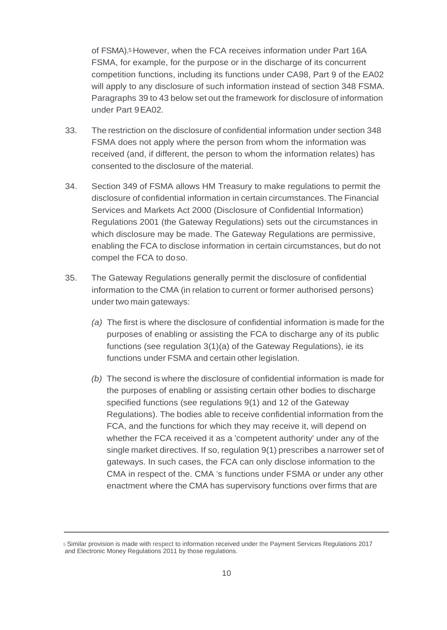of FSMA).5 However, when the FCA receives information under Part 16A FSMA, for example, for the purpose or in the discharge of its concurrent competition functions, including its functions under CA98, Part 9 of the EA02 will apply to any disclosure of such information instead of section 348 FSMA. Paragraphs 39 to 43 below set out the framework for disclosure of information under Part 9EA02.

- 33. The restriction on the disclosure of confidential information under section 348 FSMA does not apply where the person from whom the information was received (and, if different, the person to whom the information relates) has consented to the disclosure of the material.
- 34. Section 349 of FSMA allows HM Treasury to make regulations to permit the disclosure of confidential information in certain circumstances. The Financial Services and Markets Act 2000 (Disclosure of Confidential Information) Regulations 2001 (the Gateway Regulations) sets out the circumstances in which disclosure may be made. The Gateway Regulations are permissive, enabling the FCA to disclose information in certain circumstances, but do not compel the FCA to doso.
- 35. The Gateway Regulations generally permit the disclosure of confidential information to the CMA (in relation to current or former authorised persons) under two main gateways:
	- *(a)* The first is where the disclosure of confidential information is made for the purposes of enabling or assisting the FCA to discharge any of its public functions (see regulation 3(1)(a) of the Gateway Regulations), ie its functions under FSMA and certain other legislation.
	- *(b)* The second is where the disclosure of confidential information is made for the purposes of enabling or assisting certain other bodies to discharge specified functions (see regulations 9(1) and 12 of the Gateway Regulations). The bodies able to receive confidential information from the FCA, and the functions for which they may receive it, will depend on whether the FCA received it as a 'competent authority' under any of the single market directives. If so, regulation 9(1) prescribes a narrower set of gateways. In such cases, the FCA can only disclose information to the CMA in respect of the. CMA 's functions under FSMA or under any other enactment where the CMA has supervisory functions over firms that are

<sup>5</sup> Similar provision is made with respect to information received under the Payment Services Regulations 2017 and Electronic Money Regulations 2011 by those regulations.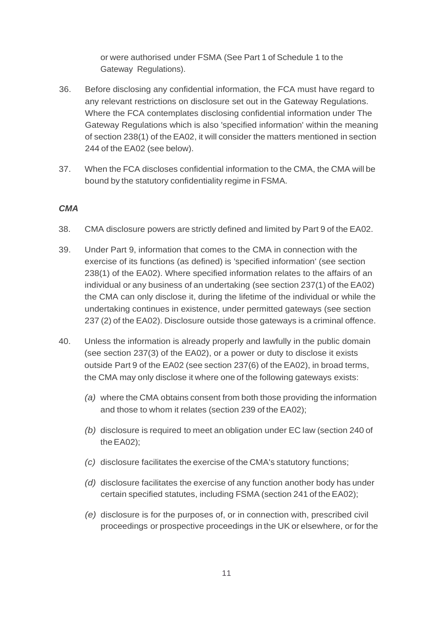or were authorised under FSMA (See Part 1 of Schedule 1 to the Gateway Regulations).

- 36. Before disclosing any confidential information, the FCA must have regard to any relevant restrictions on disclosure set out in the Gateway Regulations. Where the FCA contemplates disclosing confidential information under The Gateway Regulations which is also 'specified information' within the meaning of section 238(1) of the EA02, it will consider the matters mentioned in section 244 of the EA02 (see below).
- 37. When the FCA discloses confidential information to the CMA, the CMA will be bound by the statutory confidentiality regime in FSMA.

#### <span id="page-10-0"></span>*CMA*

- 38. CMA disclosure powers are strictly defined and limited by Part 9 of the EA02.
- 39. Under Part 9, information that comes to the CMA in connection with the exercise of its functions (as defined) is 'specified information' (see section 238(1) of the EA02). Where specified information relates to the affairs of an individual or any business of an undertaking (see section 237(1) of the EA02) the CMA can only disclose it, during the lifetime of the individual or while the undertaking continues in existence, under permitted gateways (see section 237 (2) of the EA02). Disclosure outside those gateways is a criminal offence.
- 40. Unless the information is already properly and lawfully in the public domain (see section 237(3) of the EA02), or a power or duty to disclose it exists outside Part 9 of the EA02 (see section 237(6) of the EA02), in broad terms, the CMA may only disclose it where one of the following gateways exists:
	- *(a)* where the CMA obtains consent from both those providing the information and those to whom it relates (section 239 of the EA02);
	- *(b)* disclosure is required to meet an obligation under EC law (section 240 of the  $EAO2$ );
	- *(c)* disclosure facilitates the exercise of the CMA's statutory functions;
	- *(d)* disclosure facilitates the exercise of any function another body has under certain specified statutes, including FSMA (section 241 of the EA02);
	- *(e)* disclosure is for the purposes of, or in connection with, prescribed civil proceedings or prospective proceedings in the UK or elsewhere, or for the